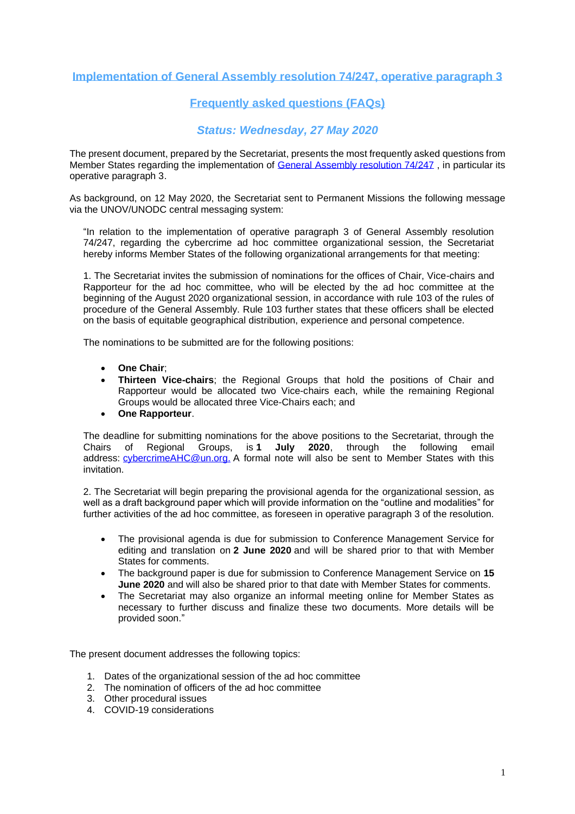# **Implementation of General Assembly resolution 74/247, operative paragraph 3**

# **Frequently asked questions (FAQs)**

# *Status: Wednesday, 27 May 2020*

The present document, prepared by the Secretariat, presents the most frequently asked questions from Member States regarding the implementation of [General Assembly resolution 74/247](https://documents-dds-ny.un.org/doc/UNDOC/GEN/N19/440/28/pdf/N1944028.pdf?OpenElement), in particular its operative paragraph 3.

As background, on 12 May 2020, the Secretariat sent to Permanent Missions the following message via the UNOV/UNODC central messaging system:

"In relation to the implementation of operative paragraph 3 of General Assembly resolution 74/247, regarding the cybercrime ad hoc committee organizational session, the Secretariat hereby informs Member States of the following organizational arrangements for that meeting:

1. The Secretariat invites the submission of nominations for the offices of Chair, Vice-chairs and Rapporteur for the ad hoc committee, who will be elected by the ad hoc committee at the beginning of the August 2020 organizational session, in accordance with rule 103 of the rules of procedure of the General Assembly. Rule 103 further states that these officers shall be elected on the basis of equitable geographical distribution, experience and personal competence.

The nominations to be submitted are for the following positions:

- **One Chair**;
- **Thirteen Vice-chairs**; the Regional Groups that hold the positions of Chair and Rapporteur would be allocated two Vice-chairs each, while the remaining Regional Groups would be allocated three Vice-Chairs each; and
- **One Rapporteur**.

The deadline for submitting nominations for the above positions to the Secretariat, through the Chairs of Regional Groups, is **1 July 2020**, through the following email address: [cybercrimeAHC@un.org.](mailto:cybercrimeAHC@un.org) A formal note will also be sent to Member States with this invitation.

2. The Secretariat will begin preparing the provisional agenda for the organizational session, as well as a draft background paper which will provide information on the "outline and modalities" for further activities of the ad hoc committee, as foreseen in operative paragraph 3 of the resolution.

- The provisional agenda is due for submission to Conference Management Service for editing and translation on **2 June 2020** and will be shared prior to that with Member States for comments.
- The background paper is due for submission to Conference Management Service on **15 June 2020** and will also be shared prior to that date with Member States for comments.
- The Secretariat may also organize an informal meeting online for Member States as necessary to further discuss and finalize these two documents. More details will be provided soon."

The present document addresses the following topics:

- 1. Dates of the organizational session of the ad hoc committee
- 2. The nomination of officers of the ad hoc committee
- 3. Other procedural issues
- 4. COVID-19 considerations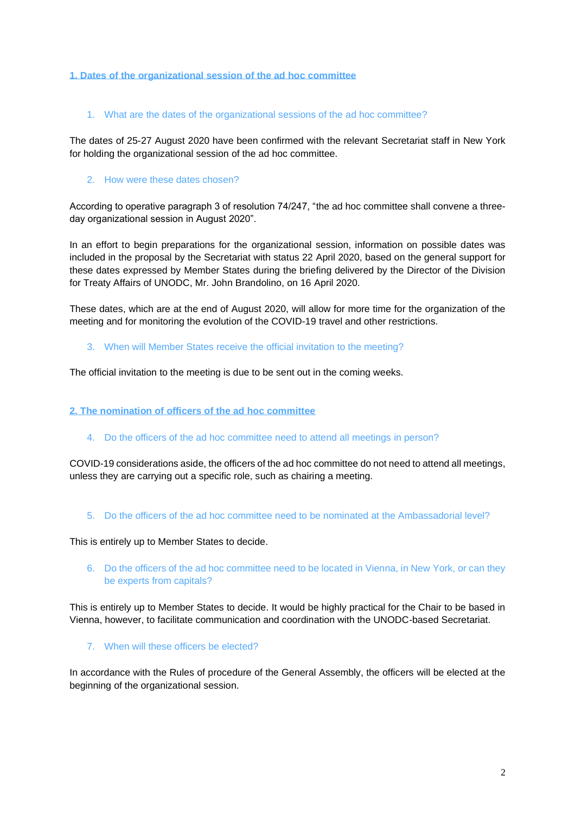#### **1. Dates of the organizational session of the ad hoc committee**

#### 1. What are the dates of the organizational sessions of the ad hoc committee?

The dates of 25-27 August 2020 have been confirmed with the relevant Secretariat staff in New York for holding the organizational session of the ad hoc committee.

#### 2. How were these dates chosen?

According to operative paragraph 3 of resolution 74/247, "the ad hoc committee shall convene a threeday organizational session in August 2020".

In an effort to begin preparations for the organizational session, information on possible dates was included in the proposal by the Secretariat with status 22 April 2020, based on the general support for these dates expressed by Member States during the briefing delivered by the Director of the Division for Treaty Affairs of UNODC, Mr. John Brandolino, on 16 April 2020.

These dates, which are at the end of August 2020, will allow for more time for the organization of the meeting and for monitoring the evolution of the COVID-19 travel and other restrictions.

3. When will Member States receive the official invitation to the meeting?

The official invitation to the meeting is due to be sent out in the coming weeks.

#### **2. The nomination of officers of the ad hoc committee**

4. Do the officers of the ad hoc committee need to attend all meetings in person?

COVID-19 considerations aside, the officers of the ad hoc committee do not need to attend all meetings, unless they are carrying out a specific role, such as chairing a meeting.

5. Do the officers of the ad hoc committee need to be nominated at the Ambassadorial level?

This is entirely up to Member States to decide.

6. Do the officers of the ad hoc committee need to be located in Vienna, in New York, or can they be experts from capitals?

This is entirely up to Member States to decide. It would be highly practical for the Chair to be based in Vienna, however, to facilitate communication and coordination with the UNODC-based Secretariat.

7. When will these officers be elected?

In accordance with the Rules of procedure of the General Assembly, the officers will be elected at the beginning of the organizational session.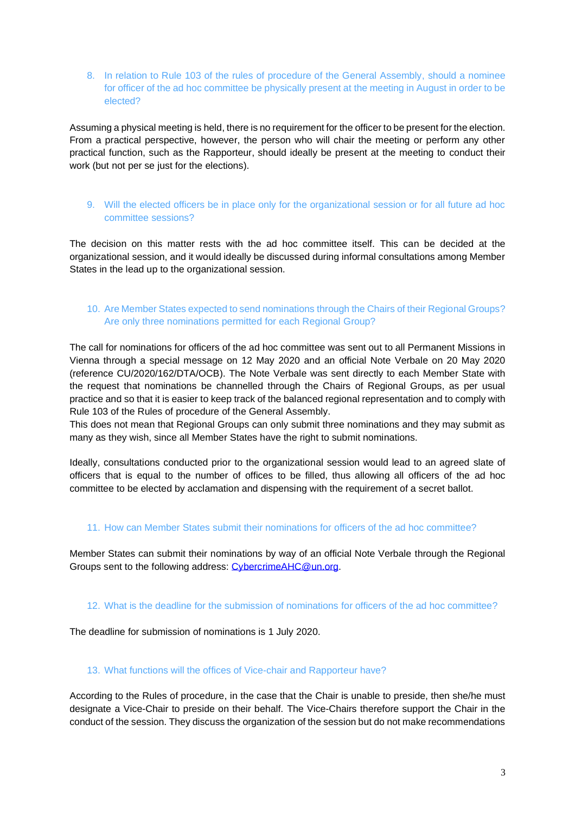8. In relation to Rule 103 of the rules of procedure of the General Assembly, should a nominee for officer of the ad hoc committee be physically present at the meeting in August in order to be elected?

Assuming a physical meeting is held, there is no requirement for the officer to be present for the election. From a practical perspective, however, the person who will chair the meeting or perform any other practical function, such as the Rapporteur, should ideally be present at the meeting to conduct their work (but not per se just for the elections).

9. Will the elected officers be in place only for the organizational session or for all future ad hoc committee sessions?

The decision on this matter rests with the ad hoc committee itself. This can be decided at the organizational session, and it would ideally be discussed during informal consultations among Member States in the lead up to the organizational session.

# 10. Are Member States expected to send nominations through the Chairs of their Regional Groups? Are only three nominations permitted for each Regional Group?

The call for nominations for officers of the ad hoc committee was sent out to all Permanent Missions in Vienna through a special message on 12 May 2020 and an official Note Verbale on 20 May 2020 (reference CU/2020/162/DTA/OCB). The Note Verbale was sent directly to each Member State with the request that nominations be channelled through the Chairs of Regional Groups, as per usual practice and so that it is easier to keep track of the balanced regional representation and to comply with Rule 103 of the Rules of procedure of the General Assembly.

This does not mean that Regional Groups can only submit three nominations and they may submit as many as they wish, since all Member States have the right to submit nominations.

Ideally, consultations conducted prior to the organizational session would lead to an agreed slate of officers that is equal to the number of offices to be filled, thus allowing all officers of the ad hoc committee to be elected by acclamation and dispensing with the requirement of a secret ballot.

#### 11. How can Member States submit their nominations for officers of the ad hoc committee?

Member States can submit their nominations by way of an official Note Verbale through the Regional Groups sent to the following address: [CybercrimeAHC@un.org.](mailto:CybercrimeAHC@un.org)

#### 12. What is the deadline for the submission of nominations for officers of the ad hoc committee?

The deadline for submission of nominations is 1 July 2020.

### 13. What functions will the offices of Vice-chair and Rapporteur have?

According to the Rules of procedure, in the case that the Chair is unable to preside, then she/he must designate a Vice-Chair to preside on their behalf. The Vice-Chairs therefore support the Chair in the conduct of the session. They discuss the organization of the session but do not make recommendations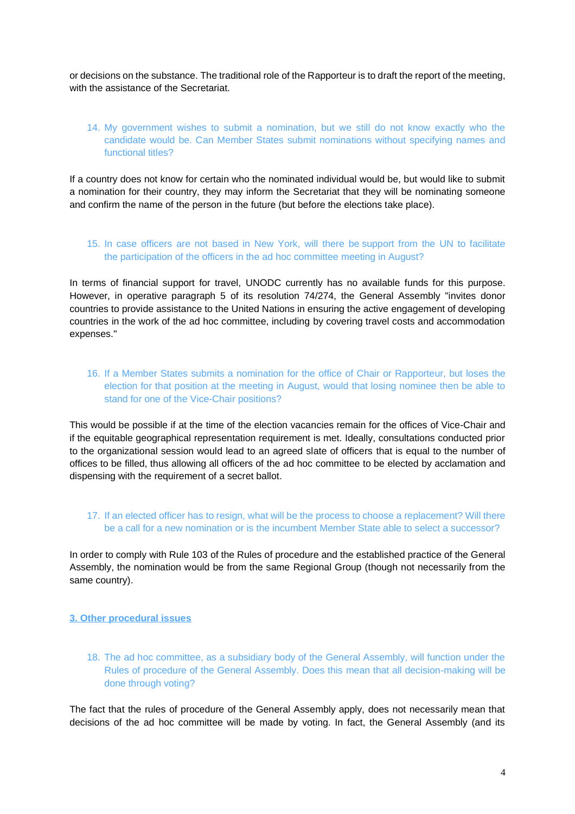or decisions on the substance. The traditional role of the Rapporteur is to draft the report of the meeting, with the assistance of the Secretariat.

# 14. My government wishes to submit a nomination, but we still do not know exactly who the candidate would be. Can Member States submit nominations without specifying names and functional titles?

If a country does not know for certain who the nominated individual would be, but would like to submit a nomination for their country, they may inform the Secretariat that they will be nominating someone and confirm the name of the person in the future (but before the elections take place).

### 15. In case officers are not based in New York, will there be support from the UN to facilitate the participation of the officers in the ad hoc committee meeting in August?

In terms of financial support for travel, UNODC currently has no available funds for this purpose. However, in operative paragraph 5 of its resolution 74/274, the General Assembly "invites donor countries to provide assistance to the United Nations in ensuring the active engagement of developing countries in the work of the ad hoc committee, including by covering travel costs and accommodation expenses."

### 16. If a Member States submits a nomination for the office of Chair or Rapporteur, but loses the election for that position at the meeting in August, would that losing nominee then be able to stand for one of the Vice-Chair positions?

This would be possible if at the time of the election vacancies remain for the offices of Vice-Chair and if the equitable geographical representation requirement is met. Ideally, consultations conducted prior to the organizational session would lead to an agreed slate of officers that is equal to the number of offices to be filled, thus allowing all officers of the ad hoc committee to be elected by acclamation and dispensing with the requirement of a secret ballot.

#### 17. If an elected officer has to resign, what will be the process to choose a replacement? Will there be a call for a new nomination or is the incumbent Member State able to select a successor?

In order to comply with Rule 103 of the Rules of procedure and the established practice of the General Assembly, the nomination would be from the same Regional Group (though not necessarily from the same country).

#### **3. Other procedural issues**

18. The ad hoc committee, as a subsidiary body of the General Assembly, will function under the Rules of procedure of the General Assembly. Does this mean that all decision-making will be done through voting?

The fact that the rules of procedure of the General Assembly apply, does not necessarily mean that decisions of the ad hoc committee will be made by voting. In fact, the General Assembly (and its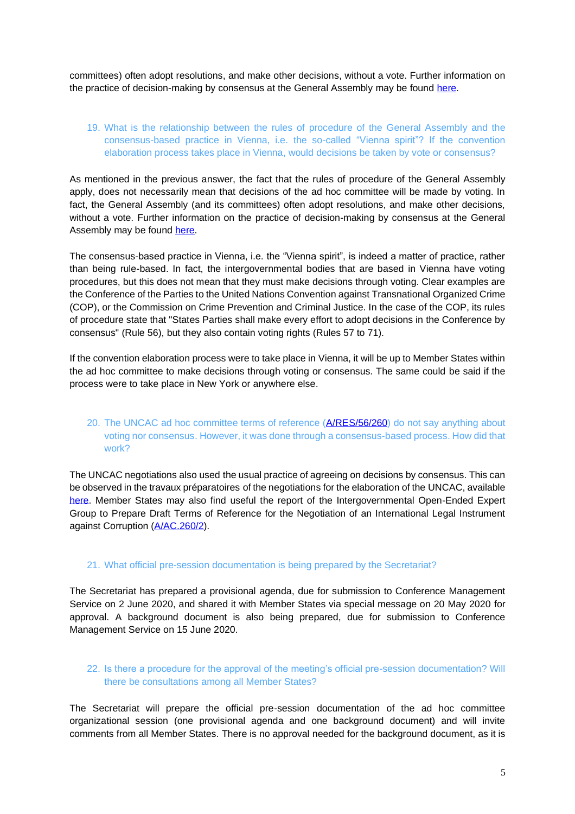committees) often adopt resolutions, and make other decisions, without a vote. Further information on the practice of decision-making by consensus at the General Assembly may be found [here.](http://ask.un.org/faq/260981)

# 19. What is the relationship between the rules of procedure of the General Assembly and the consensus-based practice in Vienna, i.e. the so-called "Vienna spirit"? If the convention elaboration process takes place in Vienna, would decisions be taken by vote or consensus?

As mentioned in the previous answer, the fact that the rules of procedure of the General Assembly apply, does not necessarily mean that decisions of the ad hoc committee will be made by voting. In fact, the General Assembly (and its committees) often adopt resolutions, and make other decisions, without a vote. Further information on the practice of decision-making by consensus at the General Assembly may be found [here.](http://ask.un.org/faq/260981)

The consensus-based practice in Vienna, i.e. the "Vienna spirit", is indeed a matter of practice, rather than being rule-based. In fact, the intergovernmental bodies that are based in Vienna have voting procedures, but this does not mean that they must make decisions through voting. Clear examples are the Conference of the Parties to the United Nations Convention against Transnational Organized Crime (COP), or the Commission on Crime Prevention and Criminal Justice. In the case of the COP, its rules of procedure state that "States Parties shall make every effort to adopt decisions in the Conference by consensus" (Rule 56), but they also contain voting rights (Rules 57 to 71).

If the convention elaboration process were to take place in Vienna, it will be up to Member States within the ad hoc committee to make decisions through voting or consensus. The same could be said if the process were to take place in New York or anywhere else.

# 20. The UNCAC ad hoc committee terms of reference [\(A/RES/56/260\)](https://undocs.org/pdf?symbol=en/A/RES/56/260) do not say anything about voting nor consensus. However, it was done through a consensus-based process. How did that work?

The UNCAC negotiations also used the usual practice of agreeing on decisions by consensus. This can be observed in the travaux préparatoires of the negotiations for the elaboration of the UNCAC, available [here.](https://www.unodc.org/documents/treaties/UNCAC/Publications/Travaux/Travaux_Preparatoires_-_UNCAC_E.pdf) Member States may also find useful the report of the Intergovernmental Open-Ended Expert Group to Prepare Draft Terms of Reference for the Negotiation of an International Legal Instrument against Corruption [\(A/AC.260/2\)](https://www.unodc.org/documents/treaties/expertmtg_corruption/2E.pdf).

### 21. What official pre-session documentation is being prepared by the Secretariat?

The Secretariat has prepared a provisional agenda, due for submission to Conference Management Service on 2 June 2020, and shared it with Member States via special message on 20 May 2020 for approval. A background document is also being prepared, due for submission to Conference Management Service on 15 June 2020.

### 22. Is there a procedure for the approval of the meeting's official pre-session documentation? Will there be consultations among all Member States?

The Secretariat will prepare the official pre-session documentation of the ad hoc committee organizational session (one provisional agenda and one background document) and will invite comments from all Member States. There is no approval needed for the background document, as it is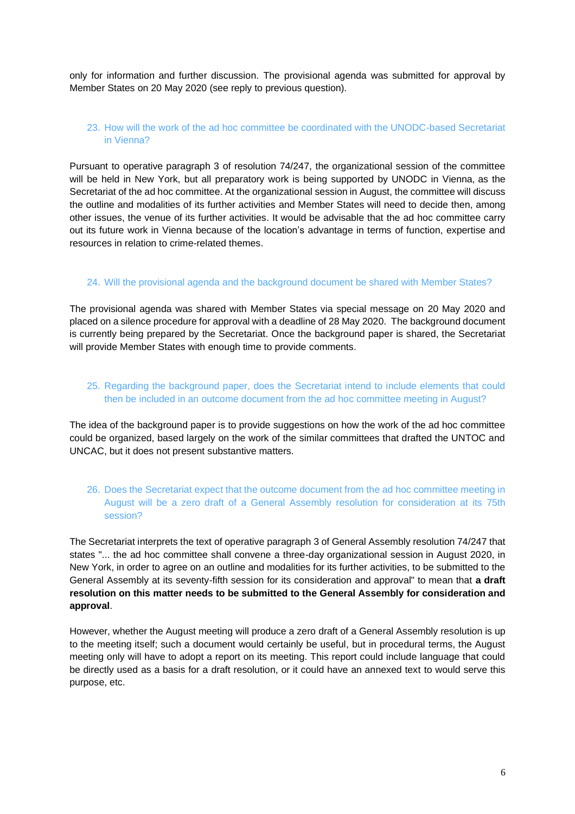only for information and further discussion. The provisional agenda was submitted for approval by Member States on 20 May 2020 (see reply to previous question).

## 23. How will the work of the ad hoc committee be coordinated with the UNODC-based Secretariat in Vienna?

Pursuant to operative paragraph 3 of resolution 74/247, the organizational session of the committee will be held in New York, but all preparatory work is being supported by UNODC in Vienna, as the Secretariat of the ad hoc committee. At the organizational session in August, the committee will discuss the outline and modalities of its further activities and Member States will need to decide then, among other issues, the venue of its further activities. It would be advisable that the ad hoc committee carry out its future work in Vienna because of the location's advantage in terms of function, expertise and resources in relation to crime-related themes.

#### 24. Will the provisional agenda and the background document be shared with Member States?

The provisional agenda was shared with Member States via special message on 20 May 2020 and placed on a silence procedure for approval with a deadline of 28 May 2020. The background document is currently being prepared by the Secretariat. Once the background paper is shared, the Secretariat will provide Member States with enough time to provide comments.

# 25. Regarding the background paper, does the Secretariat intend to include elements that could then be included in an outcome document from the ad hoc committee meeting in August?

The idea of the background paper is to provide suggestions on how the work of the ad hoc committee could be organized, based largely on the work of the similar committees that drafted the UNTOC and UNCAC, but it does not present substantive matters.

# 26. Does the Secretariat expect that the outcome document from the ad hoc committee meeting in August will be a zero draft of a General Assembly resolution for consideration at its 75th session?

The Secretariat interprets the text of operative paragraph 3 of General Assembly resolution 74/247 that states "... the ad hoc committee shall convene a three-day organizational session in August 2020, in New York, in order to agree on an outline and modalities for its further activities, to be submitted to the General Assembly at its seventy-fifth session for its consideration and approval" to mean that **a draft resolution on this matter needs to be submitted to the General Assembly for consideration and approval**.

However, whether the August meeting will produce a zero draft of a General Assembly resolution is up to the meeting itself; such a document would certainly be useful, but in procedural terms, the August meeting only will have to adopt a report on its meeting. This report could include language that could be directly used as a basis for a draft resolution, or it could have an annexed text to would serve this purpose, etc.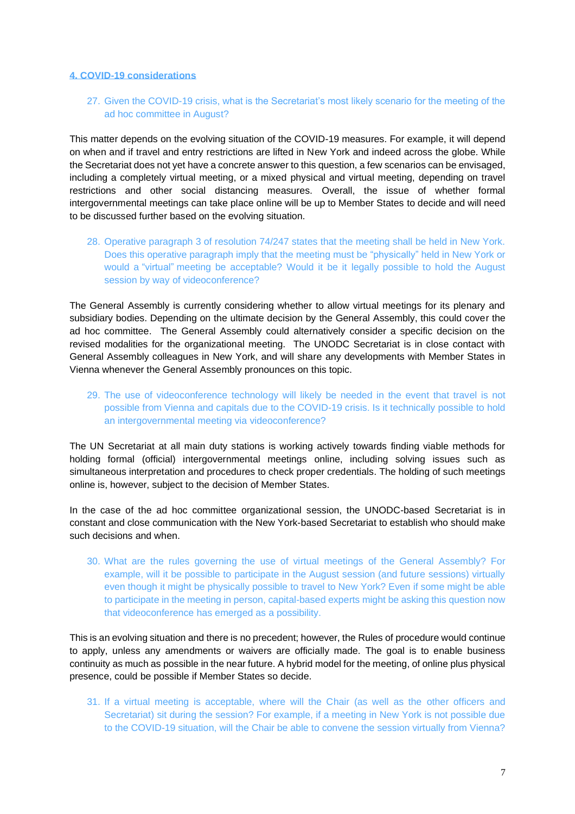#### **4. COVID-19 considerations**

# 27. Given the COVID-19 crisis, what is the Secretariat's most likely scenario for the meeting of the ad hoc committee in August?

This matter depends on the evolving situation of the COVID-19 measures. For example, it will depend on when and if travel and entry restrictions are lifted in New York and indeed across the globe. While the Secretariat does not yet have a concrete answer to this question, a few scenarios can be envisaged, including a completely virtual meeting, or a mixed physical and virtual meeting, depending on travel restrictions and other social distancing measures. Overall, the issue of whether formal intergovernmental meetings can take place online will be up to Member States to decide and will need to be discussed further based on the evolving situation.

28. Operative paragraph 3 of resolution 74/247 states that the meeting shall be held in New York. Does this operative paragraph imply that the meeting must be "physically" held in New York or would a "virtual" meeting be acceptable? Would it be it legally possible to hold the August session by way of videoconference?

The General Assembly is currently considering whether to allow virtual meetings for its plenary and subsidiary bodies. Depending on the ultimate decision by the General Assembly, this could cover the ad hoc committee. The General Assembly could alternatively consider a specific decision on the revised modalities for the organizational meeting. The UNODC Secretariat is in close contact with General Assembly colleagues in New York, and will share any developments with Member States in Vienna whenever the General Assembly pronounces on this topic.

29. The use of videoconference technology will likely be needed in the event that travel is not possible from Vienna and capitals due to the COVID-19 crisis. Is it technically possible to hold an intergovernmental meeting via videoconference?

The UN Secretariat at all main duty stations is working actively towards finding viable methods for holding formal (official) intergovernmental meetings online, including solving issues such as simultaneous interpretation and procedures to check proper credentials. The holding of such meetings online is, however, subject to the decision of Member States.

In the case of the ad hoc committee organizational session, the UNODC-based Secretariat is in constant and close communication with the New York-based Secretariat to establish who should make such decisions and when.

30. What are the rules governing the use of virtual meetings of the General Assembly? For example, will it be possible to participate in the August session (and future sessions) virtually even though it might be physically possible to travel to New York? Even if some might be able to participate in the meeting in person, capital-based experts might be asking this question now that videoconference has emerged as a possibility.

This is an evolving situation and there is no precedent; however, the Rules of procedure would continue to apply, unless any amendments or waivers are officially made. The goal is to enable business continuity as much as possible in the near future. A hybrid model for the meeting, of online plus physical presence, could be possible if Member States so decide.

31. If a virtual meeting is acceptable, where will the Chair (as well as the other officers and Secretariat) sit during the session? For example, if a meeting in New York is not possible due to the COVID-19 situation, will the Chair be able to convene the session virtually from Vienna?